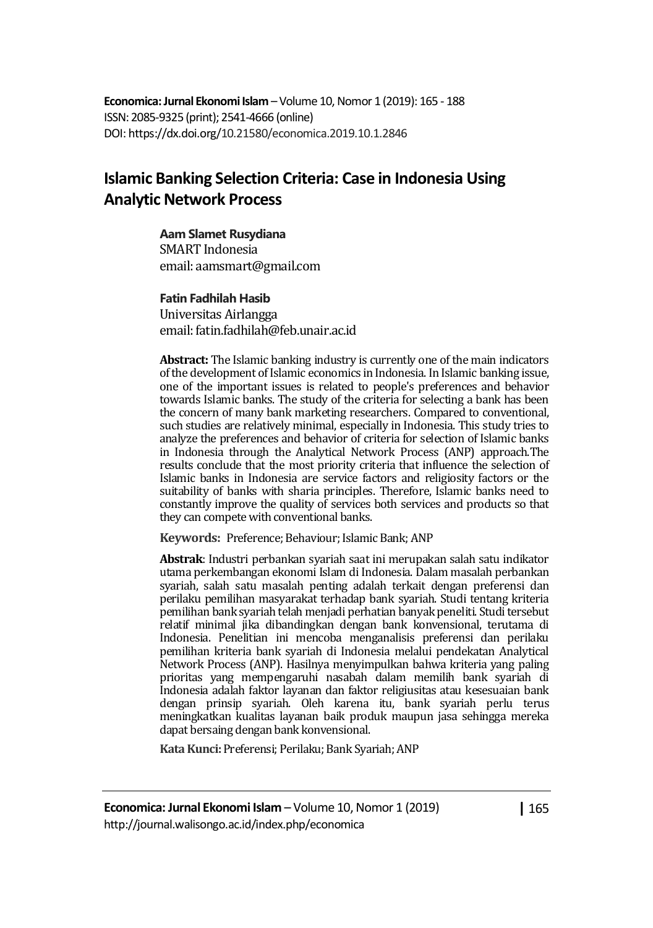**Economica: Jurnal Ekonomi Islam** – Volume 10, Nomor 1 (2019): 165 - 188 ISSN: 2085-9325 (print); 2541-4666 (online) DOI: https://dx.doi.org/10.21580/economica.2019.10.1.2846

# **Islamic Banking Selection Criteria: Case in Indonesia Using Analytic Network Process**

#### **Aam Slamet Rusydiana**

SMART Indonesia email: aamsmart@gmail.com

#### **Fatin Fadhilah Hasib**

Universitas Airlangga email: fatin.fadhilah@feb.unair.ac.id

**Abstract:** The Islamic banking industry is currently one of the main indicators of the development of Islamic economics in Indonesia. In Islamic banking issue, one of the important issues is related to people's preferences and behavior towards Islamic banks. The study of the criteria for selecting a bank has been the concern of many bank marketing researchers. Compared to conventional, such studies are relatively minimal, especially in Indonesia. This study tries to analyze the preferences and behavior of criteria for selection of Islamic banks in Indonesia through the Analytical Network Process (ANP) approach.The results conclude that the most priority criteria that influence the selection of Islamic banks in Indonesia are service factors and religiosity factors or the suitability of banks with sharia principles. Therefore, Islamic banks need to constantly improve the quality of services both services and products so that they can compete with conventional banks.

Keywords: Preference; Behaviour; Islamic Bank; ANP

**Abstrak**: Industri perbankan syariah saat ini merupakan salah satu indikator utama perkembangan ekonomi Islam di Indonesia. Dalam masalah perbankan syariah, salah satu masalah penting adalah terkait dengan preferensi dan perilaku pemilihan masyarakat terhadap bank syariah. Studi tentang kriteria pemilihan bank syariah telah menjadi perhatian banyak peneliti. Studi tersebut relatif minimal jika dibandingkan dengan bank konvensional, terutama di Indonesia. Penelitian ini mencoba menganalisis preferensi dan perilaku pemilihan kriteria bank syariah di Indonesia melalui pendekatan Analytical Network Process (ANP). Hasilnya menyimpulkan bahwa kriteria yang paling prioritas yang mempengaruhi nasabah dalam memilih bank syariah di Indonesia adalah faktor layanan dan faktor religiusitas atau kesesuaian bank dengan prinsip syariah. Oleh karena itu, bank syariah perlu terus meningkatkan kualitas layanan baik produk maupun jasa sehingga mereka dapat bersaing dengan bank konvensional.

Kata Kunci: Preferensi; Perilaku; Bank Syariah; ANP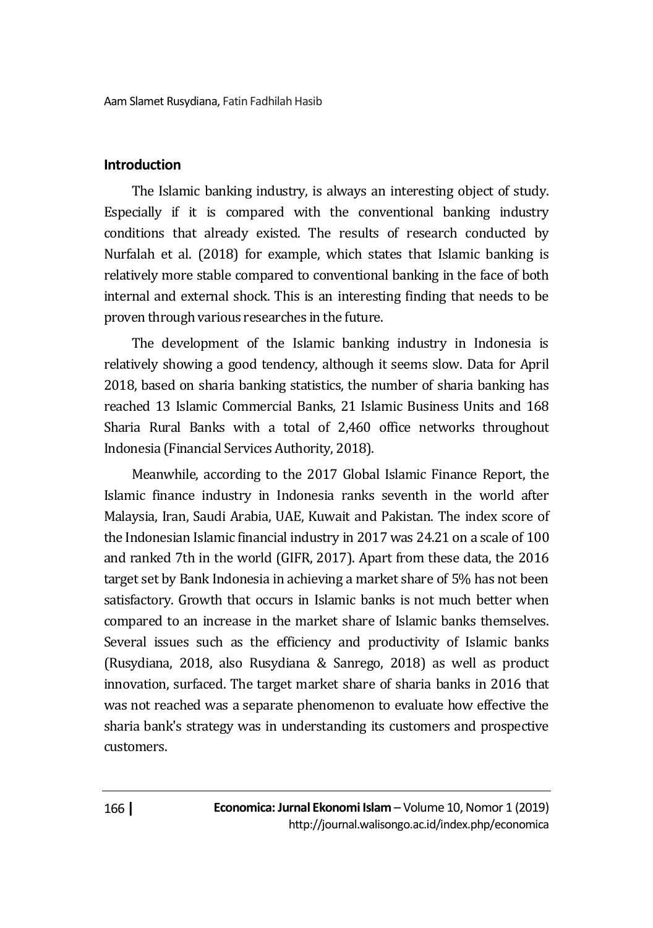# **Introduction**

The Islamic banking industry, is always an interesting object of study. Especially if it is compared with the conventional banking industry conditions that already existed. The results of research conducted by Nurfalah et al. (2018) for example, which states that Islamic banking is relatively more stable compared to conventional banking in the face of both internal and external shock. This is an interesting finding that needs to be proven through various researches in the future.

The development of the Islamic banking industry in Indonesia is relatively showing a good tendency, although it seems slow. Data for April 2018, based on sharia banking statistics, the number of sharia banking has reached 13 Islamic Commercial Banks, 21 Islamic Business Units and 168 Sharia Rural Banks with a total of 2,460 office networks throughout Indonesia (Financial Services Authority, 2018).

Meanwhile, according to the 2017 Global Islamic Finance Report, the Islamic finance industry in Indonesia ranks seventh in the world after Malaysia, Iran, Saudi Arabia, UAE, Kuwait and Pakistan. The index score of the Indonesian Islamic financial industry in 2017 was 24.21 on a scale of 100 and ranked 7th in the world (GIFR, 2017). Apart from these data, the 2016 target set by Bank Indonesia in achieving a market share of 5% has not been satisfactory. Growth that occurs in Islamic banks is not much better when compared to an increase in the market share of Islamic banks themselves. Several issues such as the efficiency and productivity of Islamic banks (Rusydiana, 2018, also Rusydiana & Sanrego, 2018) as well as product innovation, surfaced. The target market share of sharia banks in 2016 that was not reached was a separate phenomenon to evaluate how effective the sharia bank's strategy was in understanding its customers and prospective customers.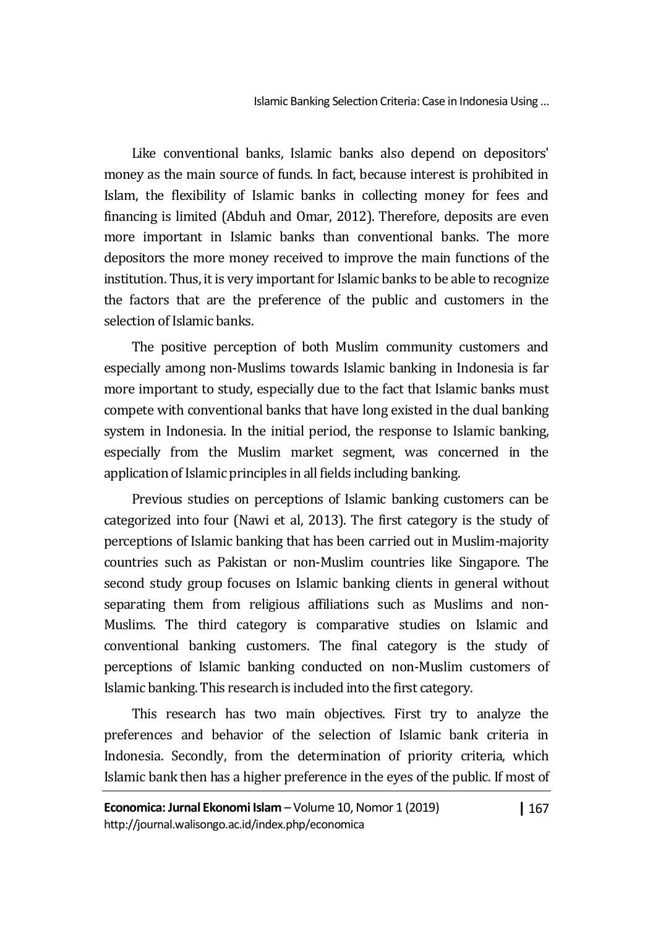Like conventional banks, Islamic banks also depend on depositors' money as the main source of funds. In fact, because interest is prohibited in Islam, the flexibility of Islamic banks in collecting money for fees and financing is limited (Abduh and Omar, 2012). Therefore, deposits are even more important in Islamic banks than conventional banks. The more depositors the more money received to improve the main functions of the institution. Thus, it is very important for Islamic banks to be able to recognize the factors that are the preference of the public and customers in the selection of Islamic banks.

The positive perception of both Muslim community customers and especially among non-Muslims towards Islamic banking in Indonesia is far more important to study, especially due to the fact that Islamic banks must compete with conventional banks that have long existed in the dual banking system in Indonesia. In the initial period, the response to Islamic banking, especially from the Muslim market segment, was concerned in the application of Islamic principles in all fields including banking.

Previous studies on perceptions of Islamic banking customers can be categorized into four (Nawi et al, 2013). The first category is the study of perceptions of Islamic banking that has been carried out in Muslim-majority countries such as Pakistan or non-Muslim countries like Singapore. The second study group focuses on Islamic banking clients in general without separating them from religious affiliations such as Muslims and non-Muslims. The third category is comparative studies on Islamic and conventional banking customers. The final category is the study of perceptions of Islamic banking conducted on non-Muslim customers of Islamic banking. This research is included into the first category.

This research has two main objectives. First try to analyze the preferences and behavior of the selection of Islamic bank criteria in Indonesia. Secondly, from the determination of priority criteria, which Islamic bank then has a higher preference in the eyes of the public. If most of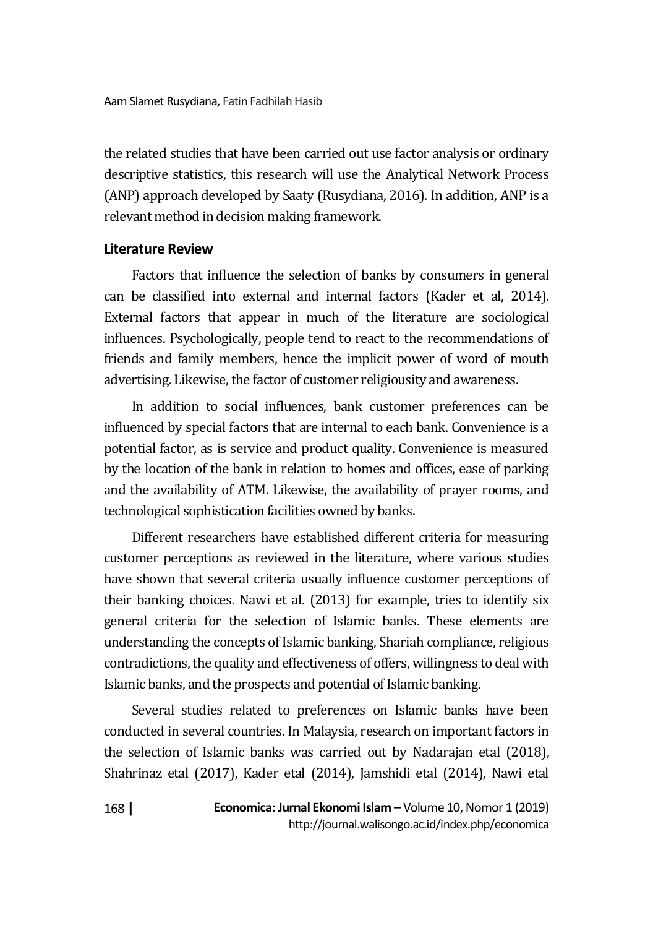the related studies that have been carried out use factor analysis or ordinary descriptive statistics, this research will use the Analytical Network Process (ANP) approach developed by Saaty (Rusydiana, 2016). In addition, ANP is a relevant method in decision making framework.

# **Literature Review**

Factors that influence the selection of banks by consumers in general can be classified into external and internal factors (Kader et al, 2014). External factors that appear in much of the literature are sociological influences. Psychologically, people tend to react to the recommendations of friends and family members, hence the implicit power of word of mouth advertising. Likewise, the factor of customer religiousity and awareness.

In addition to social influences, bank customer preferences can be influenced by special factors that are internal to each bank. Convenience is a potential factor, as is service and product quality. Convenience is measured by the location of the bank in relation to homes and offices, ease of parking and the availability of ATM. Likewise, the availability of prayer rooms, and technological sophistication facilities owned by banks.

Different researchers have established different criteria for measuring customer perceptions as reviewed in the literature, where various studies have shown that several criteria usually influence customer perceptions of their banking choices. Nawi et al. (2013) for example, tries to identify six general criteria for the selection of Islamic banks. These elements are understanding the concepts of Islamic banking, Shariah compliance, religious contradictions, the quality and effectiveness of offers, willingness to deal with Islamic banks, and the prospects and potential of Islamic banking.

Several studies related to preferences on Islamic banks have been conducted in several countries. In Malaysia, research on important factors in the selection of Islamic banks was carried out by Nadarajan etal (2018), Shahrinaz etal (2017), Kader etal (2014), Jamshidi etal (2014), Nawi etal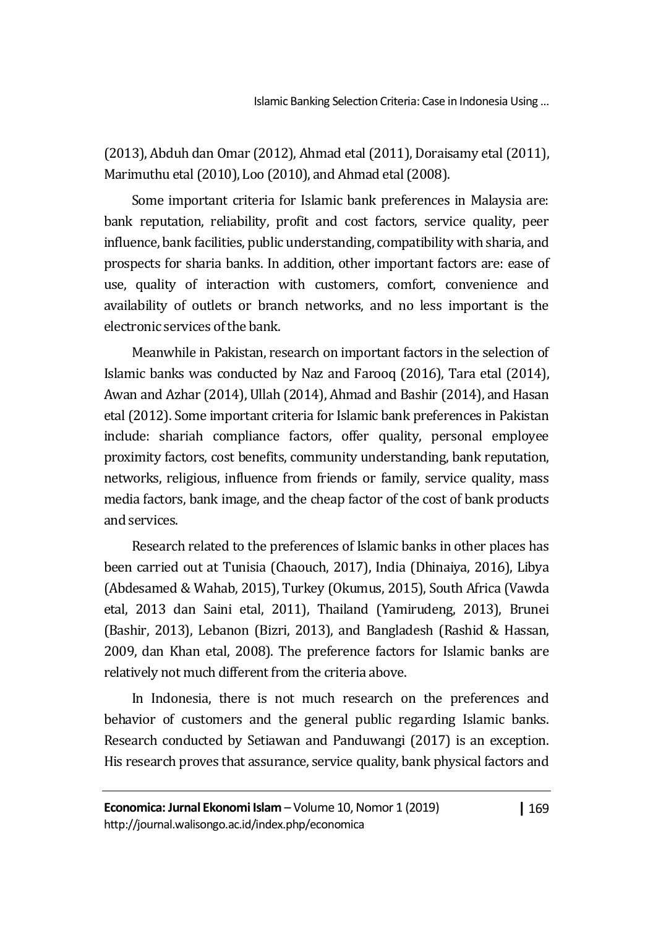(2013), Abduh dan Omar (2012), Ahmad etal (2011), Doraisamy etal (2011), Marimuthu etal (2010), Loo (2010), and Ahmad etal (2008).

Some important criteria for Islamic bank preferences in Malaysia are: bank reputation, reliability, profit and cost factors, service quality, peer influence, bank facilities, public understanding, compatibility with sharia, and prospects for sharia banks. In addition, other important factors are: ease of use, quality of interaction with customers, comfort, convenience and availability of outlets or branch networks, and no less important is the electronic services of the bank.

Meanwhile in Pakistan, research on important factors in the selection of Islamic banks was conducted by Naz and Farooq (2016), Tara etal (2014), Awan and Azhar (2014), Ullah (2014), Ahmad and Bashir (2014), and Hasan etal (2012). Some important criteria for Islamic bank preferences in Pakistan include: shariah compliance factors, offer quality, personal employee proximity factors, cost benefits, community understanding, bank reputation, networks, religious, influence from friends or family, service quality, mass media factors, bank image, and the cheap factor of the cost of bank products and services.

Research related to the preferences of Islamic banks in other places has been carried out at Tunisia (Chaouch, 2017), India (Dhinaiya, 2016), Libya (Abdesamed & Wahab, 2015), Turkey (Okumus, 2015), South Africa (Vawda etal, 2013 dan Saini etal, 2011), Thailand (Yamirudeng, 2013), Brunei (Bashir, 2013), Lebanon (Bizri, 2013), and Bangladesh (Rashid & Hassan, 2009, dan Khan etal, 2008). The preference factors for Islamic banks are relatively not much different from the criteria above.

In Indonesia, there is not much research on the preferences and behavior of customers and the general public regarding Islamic banks. Research conducted by Setiawan and Panduwangi (2017) is an exception. His research proves that assurance, service quality, bank physical factors and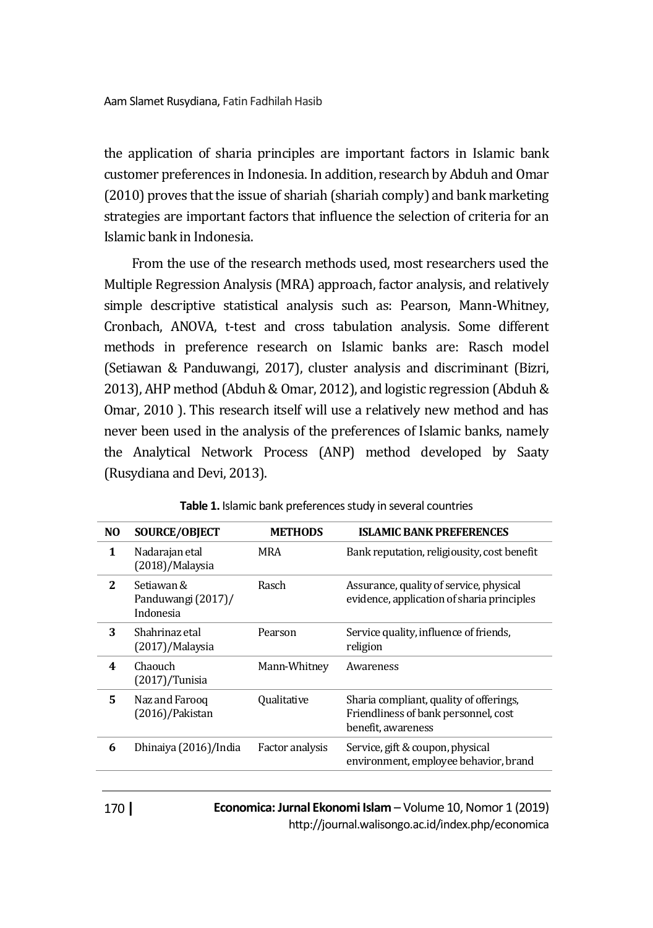the application of sharia principles are important factors in Islamic bank customer preferences in Indonesia. In addition, research by Abduh and Omar (2010) proves that the issue of shariah (shariah comply) and bank marketing strategies are important factors that influence the selection of criteria for an Islamic bank in Indonesia.

From the use of the research methods used, most researchers used the Multiple Regression Analysis (MRA) approach, factor analysis, and relatively simple descriptive statistical analysis such as: Pearson, Mann-Whitney, Cronbach, ANOVA, t-test and cross tabulation analysis. Some different methods in preference research on Islamic banks are: Rasch model (Setiawan & Panduwangi, 2017), cluster analysis and discriminant (Bizri, 2013), AHP method (Abduh & Omar, 2012), and logistic regression (Abduh & Omar, 2010 ). This research itself will use a relatively new method and has never been used in the analysis of the preferences of Islamic banks, namely the Analytical Network Process (ANP) method developed by Saaty (Rusydiana and Devi, 2013).

| NO. | <b>SOURCE/OBJECT</b>                          | <b>METHODS</b>     | <b>ISLAMIC BANK PREFERENCES</b>                                                                       |
|-----|-----------------------------------------------|--------------------|-------------------------------------------------------------------------------------------------------|
| 1   | Nadarajan etal<br>(2018)/Malaysia             | MRA                | Bank reputation, religiousity, cost benefit                                                           |
| 2   | Setiawan &<br>Panduwangi (2017)/<br>Indonesia | Rasch              | Assurance, quality of service, physical<br>evidence, application of sharia principles                 |
| 3   | Shahrinaz etal<br>(2017)/Malaysia             | Pearson            | Service quality, influence of friends,<br>religion                                                    |
| 4   | Chaouch<br>$(2017)/$ Tunisia                  | Mann-Whitney       | Awareness                                                                                             |
| 5   | Naz and Farooq<br>(2016)/Pakistan             | <b>Oualitative</b> | Sharia compliant, quality of offerings,<br>Friendliness of bank personnel, cost<br>benefit, awareness |
| 6   | Dhinaiya (2016)/India                         | Factor analysis    | Service, gift & coupon, physical<br>environment, employee behavior, brand                             |
|     |                                               |                    |                                                                                                       |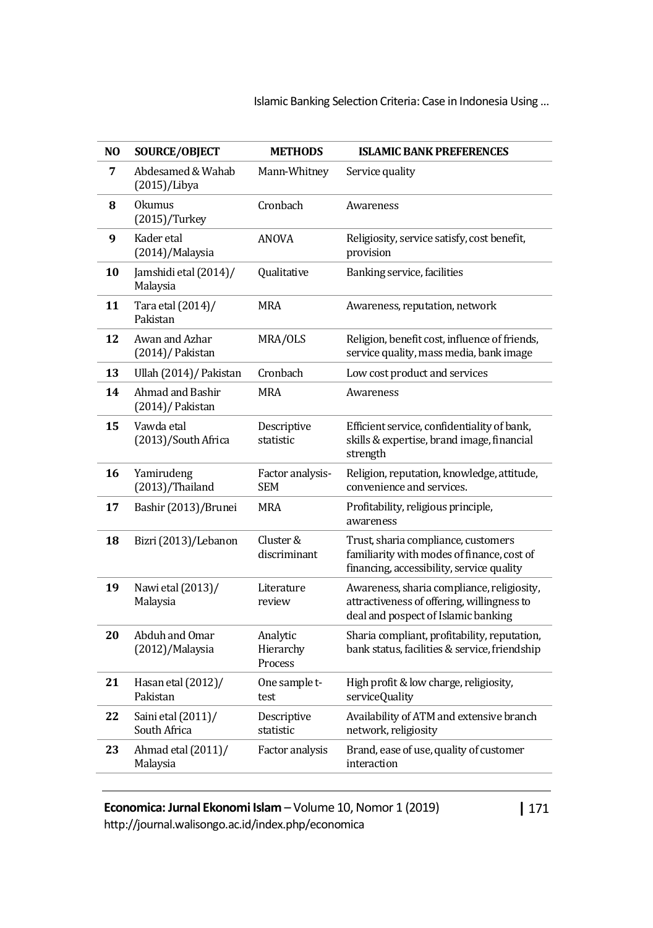Islamic Banking Selection Criteria: Case in Indonesia Using …

| NO | SOURCE/OBJECT                          | <b>METHODS</b>                   | <b>ISLAMIC BANK PREFERENCES</b>                                                                                                 |
|----|----------------------------------------|----------------------------------|---------------------------------------------------------------------------------------------------------------------------------|
| 7  | Abdesamed & Wahab<br>(2015)/Libya      | Mann-Whitney                     | Service quality                                                                                                                 |
| 8  | <b>Okumus</b><br>$(2015)/$ Turkey      | Cronbach                         | Awareness                                                                                                                       |
| 9  | Kader etal<br>(2014)/Malaysia          | <b>ANOVA</b>                     | Religiosity, service satisfy, cost benefit,<br>provision                                                                        |
| 10 | Jamshidi etal (2014)/<br>Malaysia      | Qualitative                      | Banking service, facilities                                                                                                     |
| 11 | Tara etal (2014)/<br>Pakistan          | MRA                              | Awareness, reputation, network                                                                                                  |
| 12 | Awan and Azhar<br>(2014)/ Pakistan     | MRA/OLS                          | Religion, benefit cost, influence of friends,<br>service quality, mass media, bank image                                        |
| 13 | Ullah (2014) / Pakistan                | Cronbach                         | Low cost product and services                                                                                                   |
| 14 | Ahmad and Bashir<br>(2014)/ Pakistan   | <b>MRA</b>                       | Awareness                                                                                                                       |
| 15 | Vawda etal<br>(2013)/South Africa      | Descriptive<br>statistic         | Efficient service, confidentiality of bank,<br>skills & expertise, brand image, financial<br>strength                           |
| 16 | Yamirudeng<br>$(2013)/\text{Thailand}$ | Factor analysis-<br><b>SEM</b>   | Religion, reputation, knowledge, attitude,<br>convenience and services.                                                         |
| 17 | Bashir (2013)/Brunei                   | MRA                              | Profitability, religious principle,<br>awareness                                                                                |
| 18 | Bizri (2013)/Lebanon                   | Cluster &<br>discriminant        | Trust, sharia compliance, customers<br>familiarity with modes of finance, cost of<br>financing, accessibility, service quality  |
| 19 | Nawi etal (2013)/<br>Malaysia          | Literature<br>review             | Awareness, sharia compliance, religiosity,<br>attractiveness of offering, willingness to<br>deal and pospect of Islamic banking |
| 20 | Abduh and Omar<br>(2012)/Malaysia      | Analytic<br>Hierarchy<br>Process | Sharia compliant, profitability, reputation,<br>bank status, facilities & service, friendship                                   |
| 21 | Hasan etal (2012)/<br>Pakistan         | One sample t-<br>test            | High profit & low charge, religiosity,<br>serviceQuality                                                                        |
| 22 | Saini etal (2011)/<br>South Africa     | Descriptive<br>statistic         | Availability of ATM and extensive branch<br>network, religiosity                                                                |
| 23 | Ahmad etal (2011)/<br>Malaysia         | Factor analysis                  | Brand, ease of use, quality of customer<br>interaction                                                                          |
|    |                                        |                                  |                                                                                                                                 |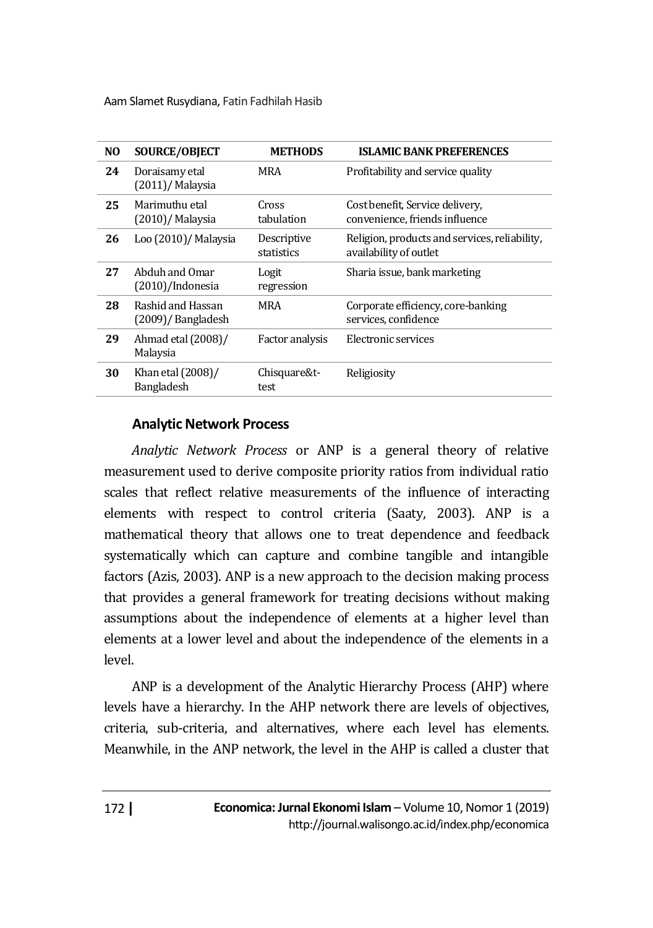| NO. | <b>SOURCE/OBJECT</b>                      | <b>METHODS</b>            | <b>ISLAMIC BANK PREFERENCES</b>                                         |
|-----|-------------------------------------------|---------------------------|-------------------------------------------------------------------------|
| 24  | Doraisamy etal<br>$(2011)$ / Malaysia     | MRA                       | Profitability and service quality                                       |
| 25  | Marimuthu etal<br>$(2010)$ / Malaysia     | Cross<br>tabulation       | Cost benefit, Service delivery,<br>convenience, friends influence       |
| 26  | Loo (2010)/ Malaysia                      | Descriptive<br>statistics | Religion, products and services, reliability,<br>availability of outlet |
| 27  | Abduh and Omar<br>$(2010)/$ Indonesia     | Logit<br>regression       | Sharia issue, bank marketing                                            |
| 28  | Rashid and Hassan<br>$(2009)$ /Bangladesh | <b>MRA</b>                | Corporate efficiency, core-banking<br>services, confidence              |
| 29  | Ahmad etal (2008)/<br>Malaysia            | Factor analysis           | Electronic services                                                     |
| 30  | Khan etal (2008)/<br>Bangladesh           | Chisquare&t-<br>test      | Religiosity                                                             |
|     |                                           |                           |                                                                         |

### **Analytic Network Process**

*Analytic Network Process* or ANP is a general theory of relative measurement used to derive composite priority ratios from individual ratio scales that reflect relative measurements of the influence of interacting elements with respect to control criteria (Saaty, 2003). ANP is a mathematical theory that allows one to treat dependence and feedback systematically which can capture and combine tangible and intangible factors (Azis, 2003). ANP is a new approach to the decision making process that provides a general framework for treating decisions without making assumptions about the independence of elements at a higher level than elements at a lower level and about the independence of the elements in a level.

ANP is a development of the Analytic Hierarchy Process (AHP) where levels have a hierarchy. In the AHP network there are levels of objectives, criteria, sub-criteria, and alternatives, where each level has elements. Meanwhile, in the ANP network, the level in the AHP is called a cluster that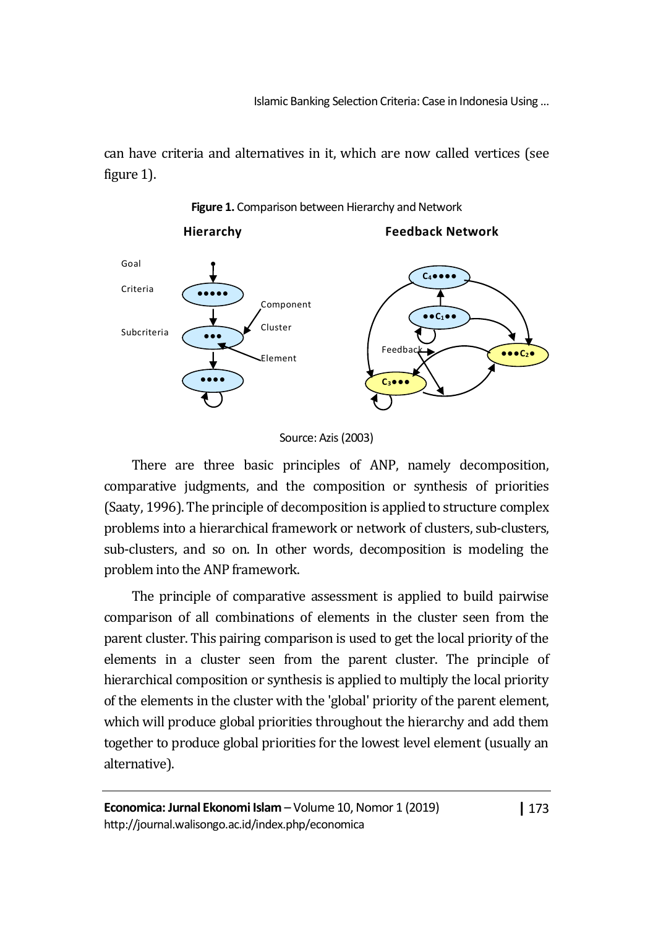Islamic Banking Selection Criteria: Case in Indonesia Using …

can have criteria and alternatives in it, which are now called vertices (see figure 1).



**Figure 1.** Comparison between Hierarchy and Network

There are three basic principles of ANP, namely decomposition, comparative judgments, and the composition or synthesis of priorities (Saaty, 1996). The principle of decomposition is applied to structure complex problems into a hierarchical framework or network of clusters, sub-clusters, sub-clusters, and so on. In other words, decomposition is modeling the problem into the ANP framework.

The principle of comparative assessment is applied to build pairwise comparison of all combinations of elements in the cluster seen from the parent cluster. This pairing comparison is used to get the local priority of the elements in a cluster seen from the parent cluster. The principle of hierarchical composition or synthesis is applied to multiply the local priority of the elements in the cluster with the 'global' priority of the parent element, which will produce global priorities throughout the hierarchy and add them together to produce global priorities for the lowest level element (usually an alternative).

Source: Azis (2003)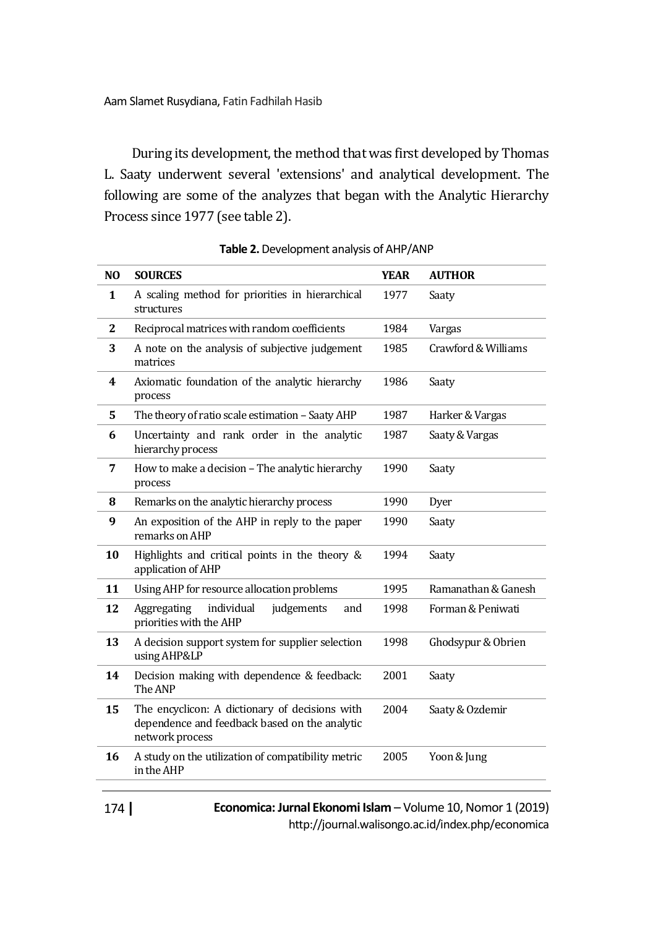During its development, the method that was first developed by Thomas L. Saaty underwent several 'extensions' and analytical development. The following are some of the analyzes that began with the Analytic Hierarchy Process since 1977 (see table 2).

| N <sub>O</sub> | <b>SOURCES</b>                                                                                                     | <b>YEAR</b> | <b>AUTHOR</b>       |
|----------------|--------------------------------------------------------------------------------------------------------------------|-------------|---------------------|
| $\mathbf{1}$   | A scaling method for priorities in hierarchical<br>structures                                                      | 1977        | Saaty               |
| $\mathbf{2}$   | Reciprocal matrices with random coefficients                                                                       | 1984        | Vargas              |
| 3              | A note on the analysis of subjective judgement<br>matrices                                                         | 1985        | Crawford & Williams |
| 4              | Axiomatic foundation of the analytic hierarchy<br>process                                                          | 1986        | Saaty               |
| 5              | The theory of ratio scale estimation - Saaty AHP                                                                   | 1987        | Harker & Vargas     |
| 6              | Uncertainty and rank order in the analytic<br>hierarchy process                                                    | 1987        | Saaty & Vargas      |
| 7              | How to make a decision – The analytic hierarchy<br>process                                                         | 1990        | Saaty               |
| 8              | Remarks on the analytic hierarchy process                                                                          | 1990        | Dyer                |
| 9              | An exposition of the AHP in reply to the paper<br>remarks on AHP                                                   | 1990        | Saaty               |
| 10             | Highlights and critical points in the theory &<br>application of AHP                                               | 1994        | Saaty               |
| 11             | Using AHP for resource allocation problems                                                                         | 1995        | Ramanathan & Ganesh |
| 12             | individual<br>judgements<br>Aggregating<br>and<br>priorities with the AHP                                          | 1998        | Forman & Peniwati   |
| 13             | A decision support system for supplier selection<br>using AHP&LP                                                   | 1998        | Ghodsypur & Obrien  |
| 14             | Decision making with dependence & feedback:<br>The ANP                                                             | 2001        | Saaty               |
| 15             | The encyclicon: A dictionary of decisions with<br>dependence and feedback based on the analytic<br>network process | 2004        | Saaty & Ozdemir     |
| 16             | A study on the utilization of compatibility metric<br>in the AHP                                                   | 2005        | Yoon & Jung         |

**Table 2.**Development analysis of AHP/ANP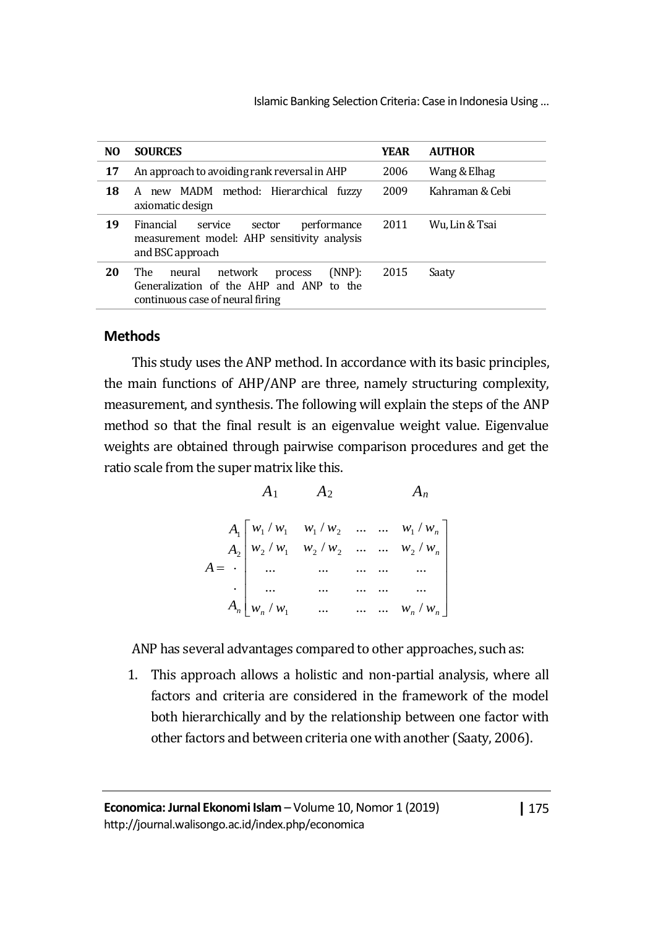| N <sub>O</sub> | <b>SOURCES</b>                                                                                                                | YEAR | <b>AUTHOR</b>   |
|----------------|-------------------------------------------------------------------------------------------------------------------------------|------|-----------------|
| 17             | An approach to avoiding rank reversal in AHP                                                                                  | 2006 | Wang & Elhag    |
| 18             | A new MADM method: Hierarchical fuzzy<br>axiomatic design                                                                     | 2009 | Kahraman & Cebi |
| 19             | Financial<br>service<br>performance<br>sector<br>measurement model: AHP sensitivity analysis<br>and BSC approach              | 2011 | Wu. Lin & Tsai  |
| 20             | (NNP):<br>network<br>The<br>neural<br>process<br>Generalization of the AHP and ANP to the<br>continuous case of neural firing | 2015 | Saaty           |

### **Methods**

This study uses the ANP method. In accordance with its basic principles, the main functions of AHP/ANP are three, namely structuring complexity, measurement, and synthesis. The following will explain the steps of the ANP method so that the final result is an eigenvalue weight value. Eigenvalue weights are obtained through pairwise comparison procedures and get the ratio scale from the super matrix like this.

> $A_1$   $A_2$   $A_n$ I 」 1  $\mathsf{L}$  $\mathbf{r}$  $\mathbf{r}$  $\mathbf{r}$  $\mathsf{L}$  $\mathsf{L}$ L Γ = *n n n n* **<b>***n n n n n n n n n n n n n n n*  $\vert W_n / W_1 \vert$  ... ... ...  $W_n / W_2$ *w* / *w*, *w* / *w*, ... ... *w* / *w w*, *w*, *w*, *w*<sub>0</sub> ... ... *w*, *w A A A A*  $/w_1$  ... ... ...  $W_n$  / ... ... ... ... ... ... ... ... ... ... ... ...  $/w, w_2/w_2, \ldots, w_n/v_n$  $/w, w, /w, ... ... w, /w$ . . 1 2  $\cdots$   $\cdots$   $\cdots$   $\cdots$   $\cdots$  $1'$   $''1$   $''1'$   $''2$   $''1$   $''1$ 2 1

ANP has several advantages compared to other approaches, such as:

1. This approach allows a holistic and non-partial analysis, where all factors and criteria are considered in the framework of the model both hierarchically and by the relationship between one factor with other factors and between criteria one with another (Saaty, 2006).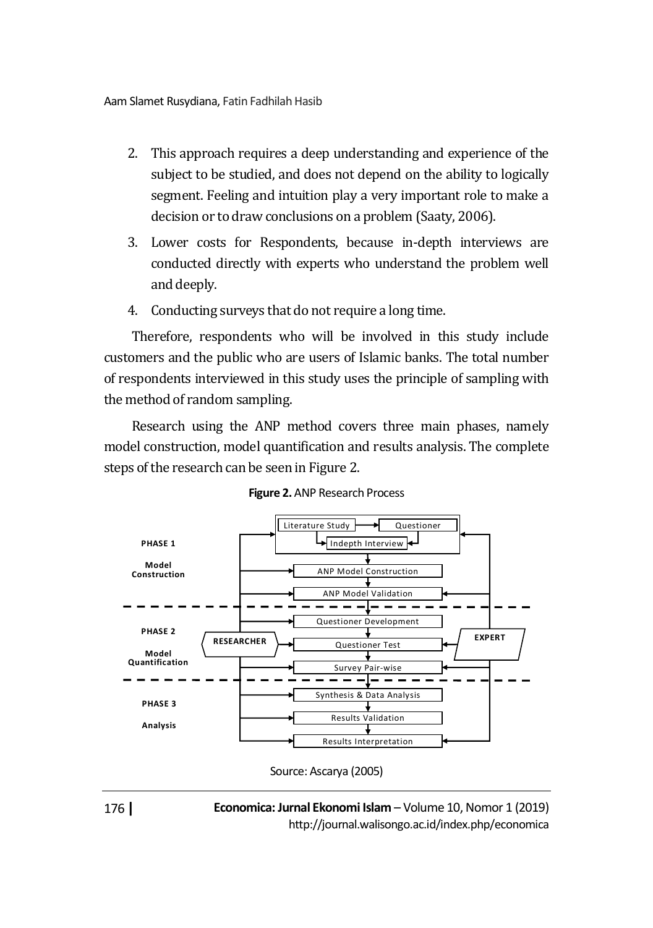- 2. This approach requires a deep understanding and experience of the subject to be studied, and does not depend on the ability to logically segment. Feeling and intuition play a very important role to make a decision or to draw conclusions on a problem (Saaty, 2006).
- 3. Lower costs for Respondents, because in-depth interviews are conducted directly with experts who understand the problem well and deeply.
- 4. Conducting surveys that do not require a long time.

Therefore, respondents who will be involved in this study include customers and the public who are users of Islamic banks. The total number of respondents interviewed in this study uses the principle of sampling with the method of random sampling.

Research using the ANP method covers three main phases, namely model construction, model quantification and results analysis. The complete steps of the research can be seen in Figure 2.



**Figure 2.** ANP Research Process

176 **|**

Source: Ascarya (2005)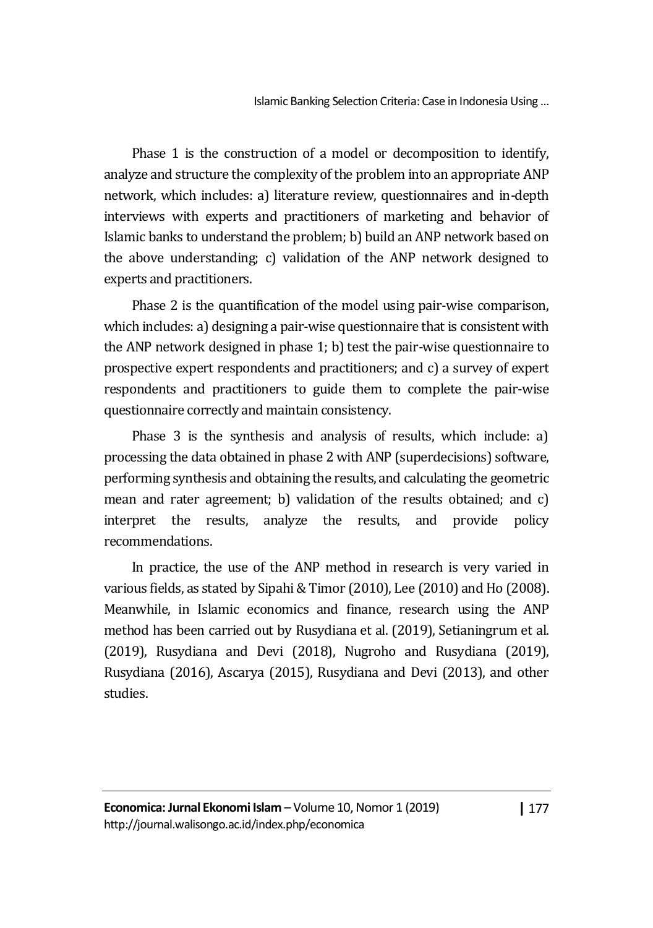Phase 1 is the construction of a model or decomposition to identify, analyze and structure the complexity of the problem into an appropriate ANP network, which includes: a) literature review, questionnaires and in-depth interviews with experts and practitioners of marketing and behavior of Islamic banks to understand the problem; b) build an ANP network based on the above understanding; c) validation of the ANP network designed to experts and practitioners.

Phase 2 is the quantification of the model using pair-wise comparison, which includes: a) designing a pair-wise questionnaire that is consistent with the ANP network designed in phase 1; b) test the pair-wise questionnaire to prospective expert respondents and practitioners; and c) a survey of expert respondents and practitioners to guide them to complete the pair-wise questionnaire correctly and maintain consistency.

Phase 3 is the synthesis and analysis of results, which include: a) processing the data obtained in phase 2 with ANP (superdecisions) software, performing synthesis and obtaining the results, and calculating the geometric mean and rater agreement; b) validation of the results obtained; and c) interpret the results, analyze the results, and provide policy recommendations.

In practice, the use of the ANP method in research is very varied in various fields, as stated by Sipahi & Timor (2010), Lee (2010) and Ho (2008). Meanwhile, in Islamic economics and finance, research using the ANP method has been carried out by Rusydiana et al. (2019), Setianingrum et al. (2019), Rusydiana and Devi (2018), Nugroho and Rusydiana (2019), Rusydiana (2016), Ascarya (2015), Rusydiana and Devi (2013), and other studies.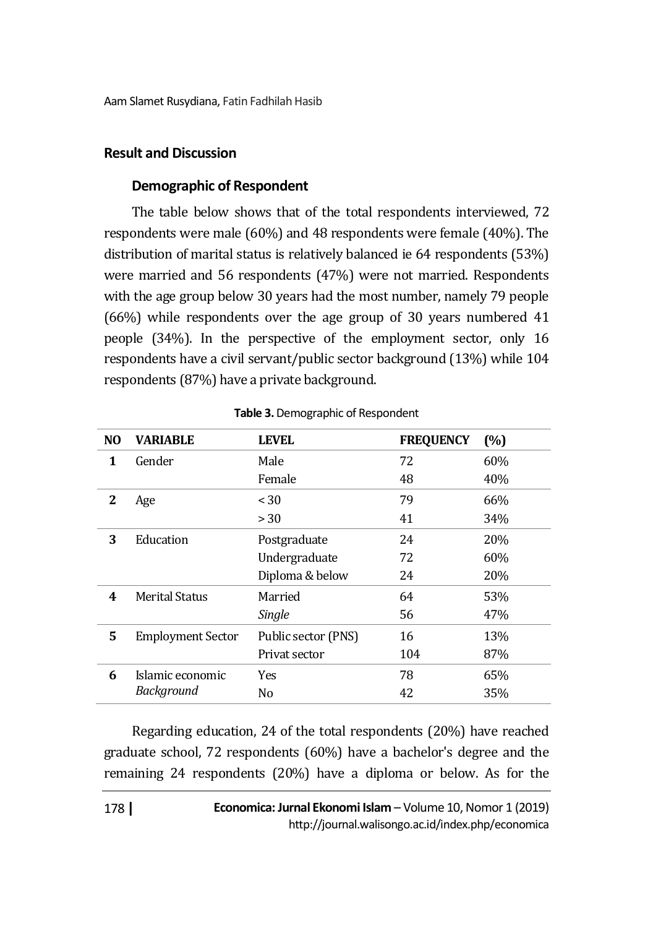### **Result and Discussion**

### **Demographic of Respondent**

The table below shows that of the total respondents interviewed, 72 respondents were male (60%) and 48 respondents were female (40%). The distribution of marital status is relatively balanced ie 64 respondents (53%) were married and 56 respondents (47%) were not married. Respondents with the age group below 30 years had the most number, namely 79 people (66%) while respondents over the age group of 30 years numbered 41 people (34%). In the perspective of the employment sector, only 16 respondents have a civil servant/public sector background (13%) while 104 respondents (87%) have a private background.

| N <sub>O</sub> | <b>VARIABLE</b>          | <b>LEVEL</b>        | <b>FREQUENCY</b> | (%)        |
|----------------|--------------------------|---------------------|------------------|------------|
| 1              | Gender                   | Male                | 72               | 60%        |
|                |                          | Female              | 48               | 40%        |
| 2              | Age                      | < 30                | 79               | 66%        |
|                |                          | > 30                | 41               | 34%        |
| 3              | Education                | Postgraduate        | 24               | <b>20%</b> |
|                |                          | Undergraduate       | 72               | 60%        |
|                |                          | Diploma & below     | 24               | 20%        |
| 4              | <b>Merital Status</b>    | Married             | 64               | 53%        |
|                |                          | Single              | 56               | 47%        |
| 5              | <b>Employment Sector</b> | Public sector (PNS) | 16               | 13%        |
|                |                          | Privat sector       | 104              | 87%        |
| 6              | Islamic economic         | Yes                 | 78               | 65%        |
|                | Background               | No                  | 42               | 35%        |

#### **Table 3.**Demographic of Respondent

Regarding education, 24 of the total respondents (20%) have reached graduate school, 72 respondents (60%) have a bachelor's degree and the remaining 24 respondents (20%) have a diploma or below. As for the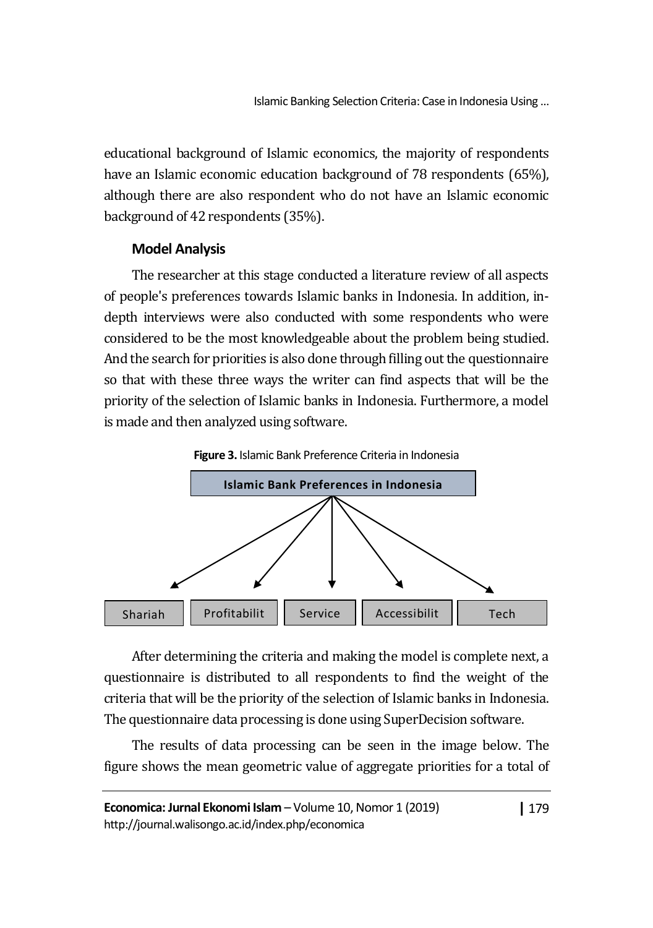educational background of Islamic economics, the majority of respondents have an Islamic economic education background of 78 respondents (65%), although there are also respondent who do not have an Islamic economic background of 42 respondents (35%).

# **Model Analysis**

The researcher at this stage conducted a literature review of all aspects of people's preferences towards Islamic banks in Indonesia. In addition, indepth interviews were also conducted with some respondents who were considered to be the most knowledgeable about the problem being studied. And the search for priorities is also done through filling out the questionnaire so that with these three ways the writer can find aspects that will be the priority of the selection of Islamic banks in Indonesia. Furthermore, a model is made and then analyzed using software.





After determining the criteria and making the model is complete next, a questionnaire is distributed to all respondents to find the weight of the criteria that will be the priority of the selection of Islamic banks in Indonesia. The questionnaire data processing is done using SuperDecision software.

The results of data processing can be seen in the image below. The figure shows the mean geometric value of aggregate priorities for a total of

**|** 179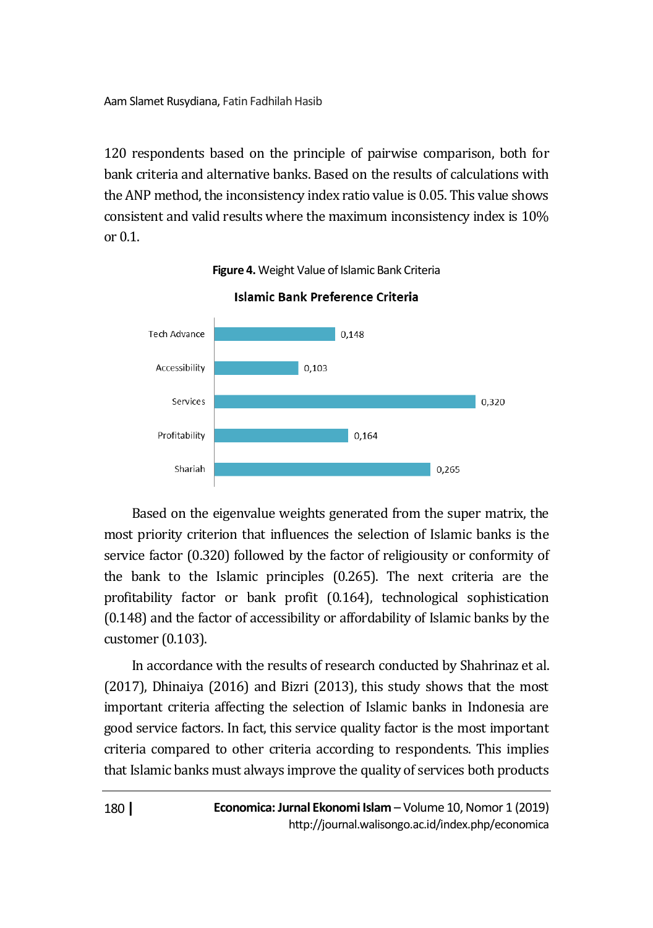120 respondents based on the principle of pairwise comparison, both for bank criteria and alternative banks. Based on the results of calculations with the ANP method, the inconsistency index ratio value is 0.05. This value shows consistent and valid results where the maximum inconsistency index is 10% or  $0.1$ .



**Figure 4.** Weight Value of Islamic Bank Criteria

Based on the eigenvalue weights generated from the super matrix, the most priority criterion that influences the selection of Islamic banks is the service factor (0.320) followed by the factor of religiousity or conformity of the bank to the Islamic principles (0.265). The next criteria are the profitability factor or bank profit (0.164), technological sophistication (0.148) and the factor of accessibility or affordability of Islamic banks by the customer (0.103).

In accordance with the results of research conducted by Shahrinaz et al. (2017), Dhinaiya (2016) and Bizri (2013), this study shows that the most important criteria affecting the selection of Islamic banks in Indonesia are good service factors. In fact, this service quality factor is the most important criteria compared to other criteria according to respondents. This implies that Islamic banks must always improve the quality of services both products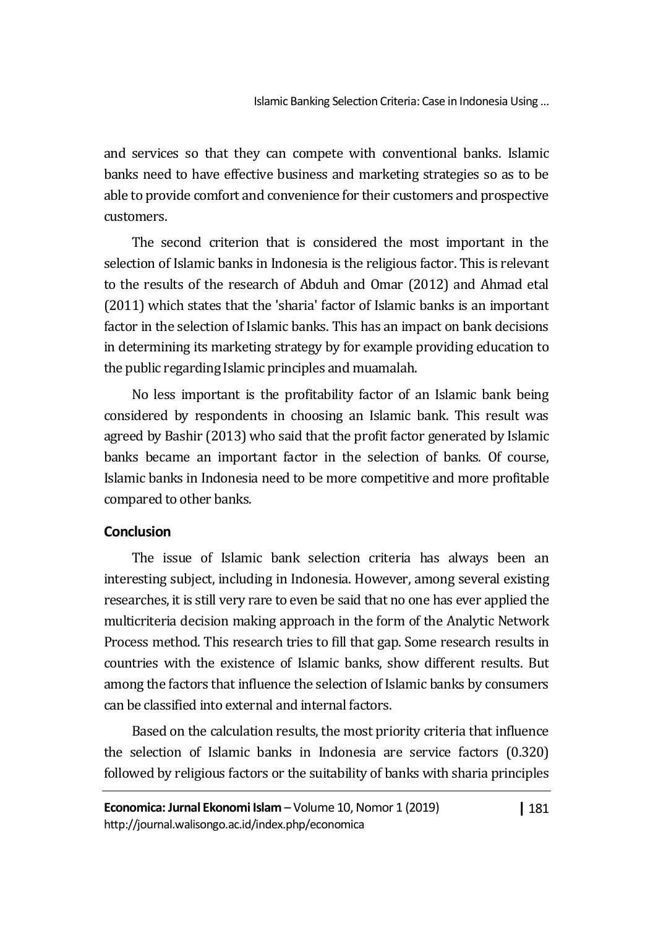and services so that they can compete with conventional banks. Islamic banks need to have effective business and marketing strategies so as to be able to provide comfort and convenience for their customers and prospective customers.

The second criterion that is considered the most important in the selection of Islamic banks in Indonesia is the religious factor. This is relevant to the results of the research of Abduh and Omar (2012) and Ahmad etal (2011) which states that the 'sharia' factor of Islamic banks is an important factor in the selection of Islamic banks. This has an impact on bank decisions in determining its marketing strategy by for example providing education to the public regarding Islamic principles and muamalah.

No less important is the profitability factor of an Islamic bank being considered by respondents in choosing an Islamic bank. This result was agreed by Bashir (2013) who said that the profit factor generated by Islamic banks became an important factor in the selection of banks. Of course, Islamic banks in Indonesia need to be more competitive and more profitable compared to other banks.

# **Conclusion**

The issue of Islamic bank selection criteria has always been an interesting subject, including in Indonesia. However, among several existing researches, it is still very rare to even be said that no one has ever applied the multicriteria decision making approach in the form of the Analytic Network Process method. This research tries to fill that gap. Some research results in countries with the existence of Islamic banks, show different results. But among the factors that influence the selection of Islamic banks by consumers can be classified into external and internal factors.

Based on the calculation results, the most priority criteria that influence the selection of Islamic banks in Indonesia are service factors (0.320) followed by religious factors or the suitability of banks with sharia principles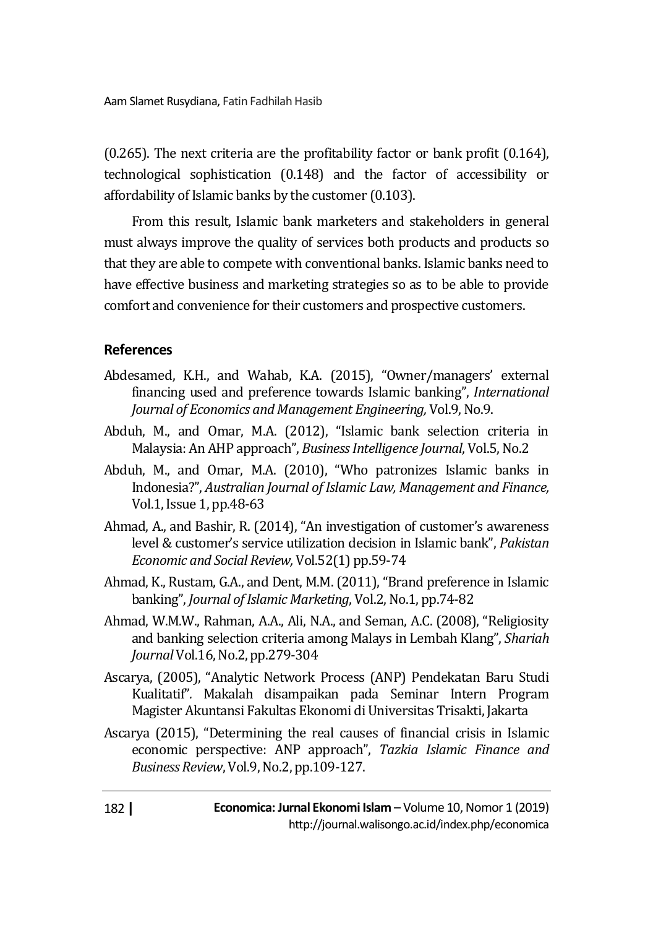(0.265). The next criteria are the profitability factor or bank profit (0.164), technological sophistication (0.148) and the factor of accessibility or affordability of Islamic banks by the customer (0.103).

From this result, Islamic bank marketers and stakeholders in general must always improve the quality of services both products and products so that they are able to compete with conventional banks. Islamic banks need to have effective business and marketing strategies so as to be able to provide comfort and convenience for their customers and prospective customers.

# **References**

- Abdesamed, K.H., and Wahab, K.A. (2015), "Owner/managers' external financing used and preference towards Islamic banking", *International Journal of Economics and Management Engineering,* Vol.9, No.9.
- Abduh, M., and Omar, M.A. (2012), "Islamic bank selection criteria in Malaysia: An AHP approach", *Business Intelligence Journal*, Vol.5, No.2
- Abduh, M., and Omar, M.A. (2010), "Who patronizes Islamic banks in Indonesia?", *Australian Journal of Islamic Law, Management and Finance,*  Vol.1, Issue 1, pp.48-63
- Ahmad, A., and Bashir, R. (2014), "An investigation of customer's awareness level & customer's service utilization decision in Islamic bank", *Pakistan Economic and Social Review,* Vol.52(1) pp.59-74
- Ahmad, K., Rustam, G.A., and Dent, M.M. (2011), "Brand preference in Islamic banking", *Journal of Islamic Marketing*, Vol.2, No.1, pp.74-82
- Ahmad, W.M.W., Rahman, A.A., Ali, N.A., and Seman, A.C. (2008), "Religiosity and banking selection criteria among Malays in Lembah Klang", *Shariah Journal* Vol.16, No.2, pp.279-304
- Ascarya, (2005), "Analytic Network Process (ANP) Pendekatan Baru Studi Kualitatif"*.* Makalah disampaikan pada Seminar Intern Program Magister Akuntansi Fakultas Ekonomi di Universitas Trisakti, Jakarta
- Ascarya (2015), "Determining the real causes of financial crisis in Islamic economic perspective: ANP approach", *Tazkia Islamic Finance and Business Review*, Vol.9, No.2, pp.109-127.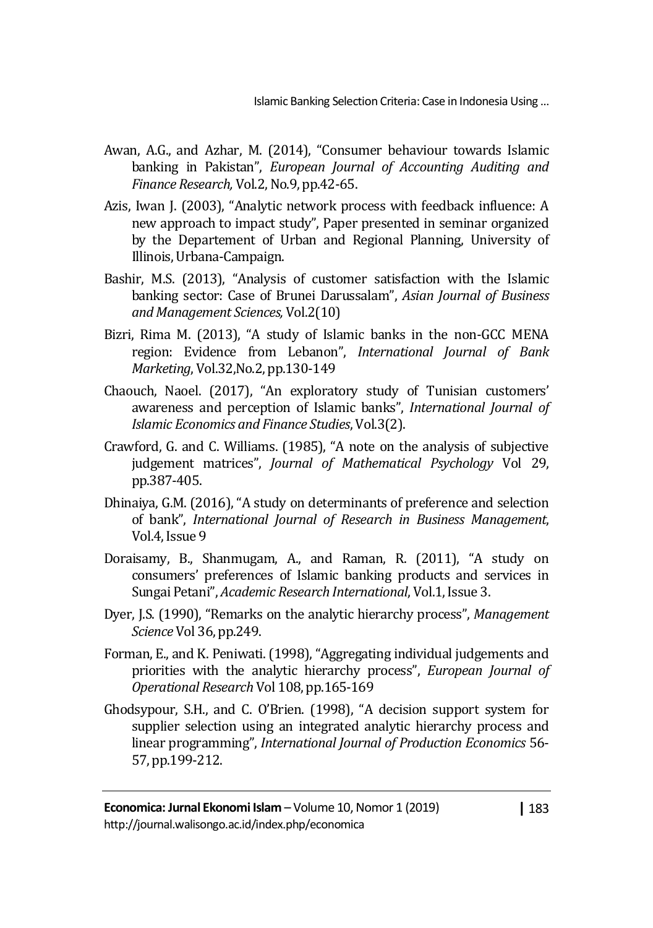- Awan, A.G., and Azhar, M. (2014), "Consumer behaviour towards Islamic banking in Pakistan", *European Journal of Accounting Auditing and Finance Research,* Vol.2, No.9, pp.42-65.
- Azis, Iwan J. (2003), "Analytic network process with feedback influence: A new approach to impact study", Paper presented in seminar organized by the Departement of Urban and Regional Planning, University of Illinois, Urbana-Campaign.
- Bashir, M.S. (2013), "Analysis of customer satisfaction with the Islamic banking sector: Case of Brunei Darussalam", *Asian Journal of Business and Management Sciences,* Vol.2(10)
- Bizri, Rima M. (2013), "A study of Islamic banks in the non-GCC MENA region: Evidence from Lebanon", *International Journal of Bank Marketing*, Vol.32,No.2, pp.130-149
- Chaouch, Naoel. (2017), "An exploratory study of Tunisian customers' awareness and perception of Islamic banks", *International Journal of Islamic Economics and Finance Studies*, Vol.3(2).
- Crawford, G. and C. Williams. (1985), "A note on the analysis of subjective judgement matrices", *Journal of Mathematical Psychology* Vol 29, pp.387-405.
- Dhinaiya, G.M. (2016), "A study on determinants of preference and selection of bank", *International Journal of Research in Business Management*, Vol.4, Issue 9
- Doraisamy, B., Shanmugam, A., and Raman, R. (2011), "A study on consumers' preferences of Islamic banking products and services in Sungai Petani", *Academic Research International*, Vol.1, Issue 3.
- Dyer, J.S. (1990), "Remarks on the analytic hierarchy process", *Management Science* Vol 36, pp.249.
- Forman, E., and K. Peniwati. (1998), "Aggregating individual judgements and priorities with the analytic hierarchy process", *European Journal of Operational Research* Vol 108, pp.165-169
- Ghodsypour, S.H., and C. O'Brien. (1998), "A decision support system for supplier selection using an integrated analytic hierarchy process and linear programming", *International Journal of Production Economics* 56- 57, pp.199-212.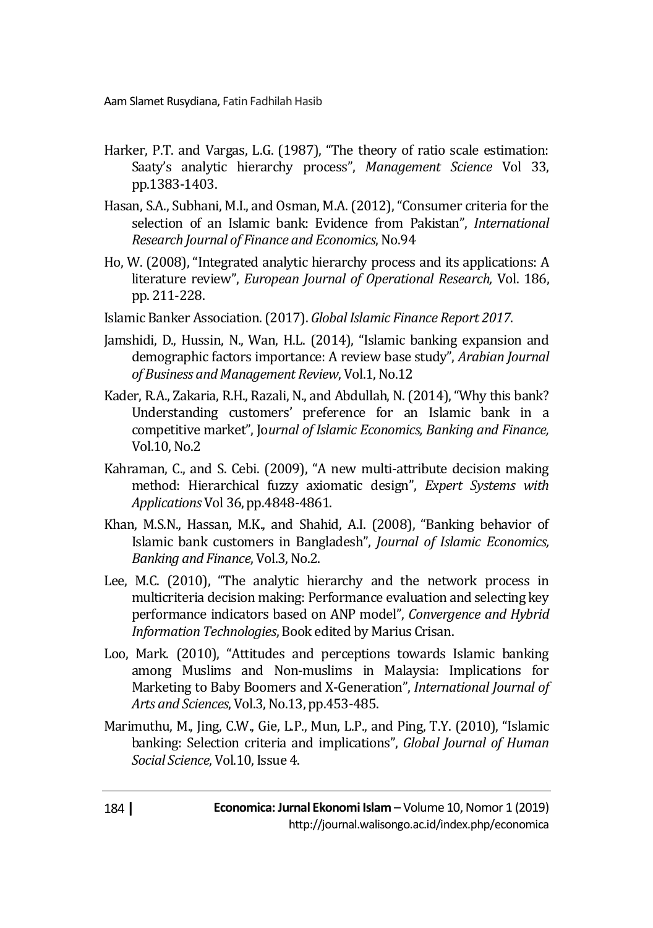- Harker, P.T. and Vargas, L.G. (1987), "The theory of ratio scale estimation: Saaty's analytic hierarchy process", *Management Science* Vol 33, pp.1383-1403.
- Hasan, S.A., Subhani, M.I., and Osman, M.A. (2012), "Consumer criteria for the selection of an Islamic bank: Evidence from Pakistan", *International Research Journal of Finance and Economics*, No.94
- Ho, W. (2008), "Integrated analytic hierarchy process and its applications: A literature review", *European Journal of Operational Research,* Vol. 186, pp. 211-228.
- Islamic Banker Association. (2017). *Global Islamic Finance Report 2017*.
- Jamshidi, D., Hussin, N., Wan, H.L. (2014), "Islamic banking expansion and demographic factors importance: A review base study", *Arabian Journal of Business and Management Review*, Vol.1, No.12
- Kader, R.A., Zakaria, R.H., Razali, N., and Abdullah, N. (2014), "Why this bank? Understanding customers' preference for an Islamic bank in a competitive market", Jo*urnal of Islamic Economics, Banking and Finance,*  Vol.10, No.2
- Kahraman, C., and S. Cebi. (2009), "A new multi-attribute decision making method: Hierarchical fuzzy axiomatic design", *Expert Systems with Applications* Vol 36, pp.4848-4861.
- Khan, M.S.N., Hassan, M.K., and Shahid, A.I. (2008), "Banking behavior of Islamic bank customers in Bangladesh", *Journal of Islamic Economics, Banking and Finance*, Vol.3, No.2.
- Lee, M.C. (2010), "The analytic hierarchy and the network process in multicriteria decision making: Performance evaluation and selecting key performance indicators based on ANP model", *Convergence and Hybrid Information Technologies*, Book edited by Marius Crisan.
- Loo, Mark. (2010), "Attitudes and perceptions towards Islamic banking among Muslims and Non-muslims in Malaysia: Implications for Marketing to Baby Boomers and X-Generation", *International Journal of Arts and Sciences*, Vol.3, No.13, pp.453-485.
- Marimuthu, M., Jing, C.W., Gie, L.P., Mun, L.P., and Ping, T.Y. (2010), "Islamic banking: Selection criteria and implications", *Global Journal of Human Social Science*, Vol.10, Issue 4.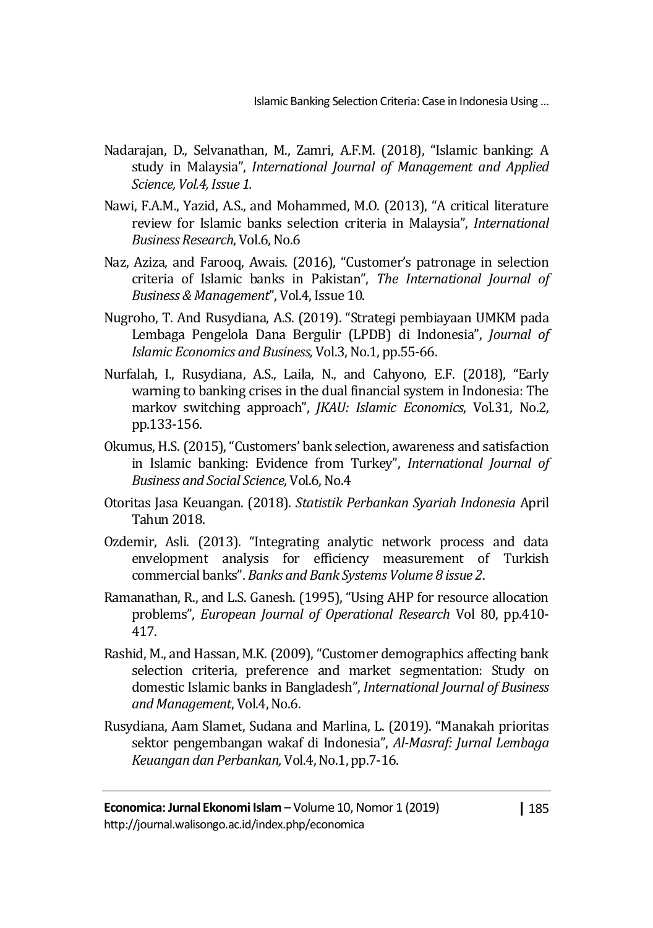- Nadarajan, D., Selvanathan, M., Zamri, A.F.M. (2018), "Islamic banking: A study in Malaysia", *International Journal of Management and Applied Science, Vol.4, Issue 1.*
- Nawi, F.A.M., Yazid, A.S., and Mohammed, M.O. (2013), "A critical literature review for Islamic banks selection criteria in Malaysia", *International Business Research*, Vol.6, No.6
- Naz, Aziza, and Farooq, Awais. (2016), "Customer's patronage in selection criteria of Islamic banks in Pakistan", *The International Journal of Business & Management*", Vol.4, Issue 10.
- Nugroho, T. And Rusydiana, A.S. (2019). "Strategi pembiayaan UMKM pada Lembaga Pengelola Dana Bergulir (LPDB) di Indonesia", *Journal of Islamic Economics and Business,* Vol.3, No.1, pp.55-66.
- Nurfalah, I., Rusydiana, A.S., Laila, N., and Cahyono, E.F. (2018), "Early warning to banking crises in the dual financial system in Indonesia: The markov switching approach", *JKAU: Islamic Economics*, Vol.31, No.2, pp.133-156.
- Okumus, H.S. (2015), "Customers' bank selection, awareness and satisfaction in Islamic banking: Evidence from Turkey", *International Journal of Business and Social Science,* Vol.6, No.4
- Otoritas Jasa Keuangan. (2018). *Statistik Perbankan Syariah Indonesia* April Tahun 2018.
- Ozdemir, Asli. (2013). "Integrating analytic network process and data envelopment analysis for efficiency measurement of Turkish commercial banks". *Banks and Bank Systems Volume 8 issue 2*.
- Ramanathan, R., and L.S. Ganesh. (1995), "Using AHP for resource allocation problems", *European Journal of Operational Research* Vol 80, pp.410- 417.
- Rashid, M., and Hassan, M.K. (2009), "Customer demographics affecting bank selection criteria, preference and market segmentation: Study on domestic Islamic banks in Bangladesh", *International Journal of Business and Management*, Vol.4, No.6.
- Rusydiana, Aam Slamet, Sudana and Marlina, L. (2019). "Manakah prioritas sektor pengembangan wakaf di Indonesia", *Al-Masraf: Jurnal Lembaga Keuangan dan Perbankan,* Vol.4, No.1, pp.7-16.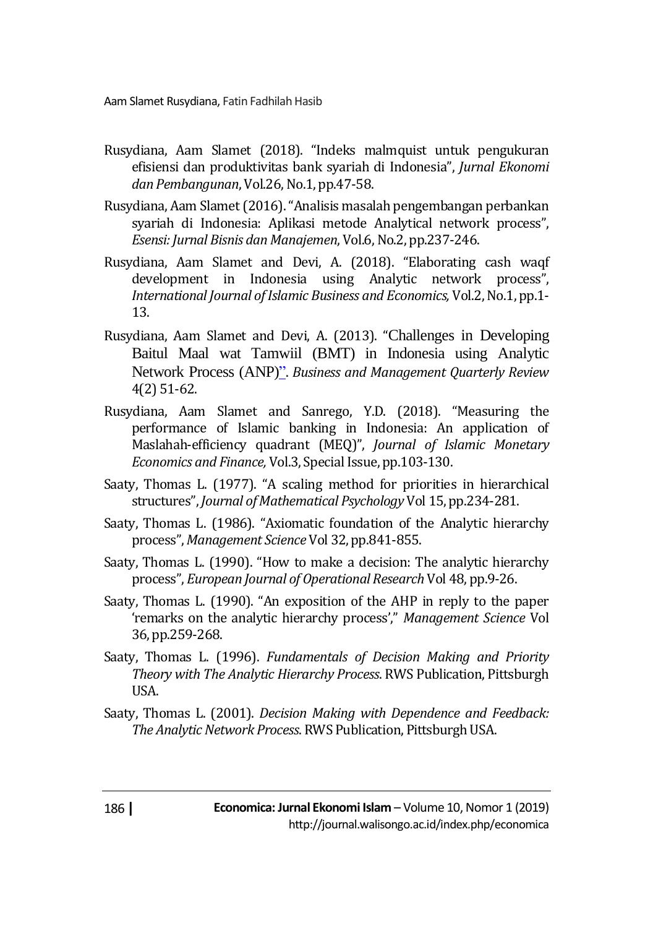- Rusydiana, Aam Slamet (2018). "Indeks malmquist untuk pengukuran efisiensi dan produktivitas bank syariah di Indonesia", *Jurnal Ekonomi dan Pembangunan*, Vol.26, No.1, pp.47-58.
- Rusydiana, Aam Slamet (2016). "Analisis masalah pengembangan perbankan syariah di Indonesia: Aplikasi metode Analytical network process", *Esensi: Jurnal Bisnis dan Manajemen*, Vol.6, No.2, pp.237-246.
- Rusydiana, Aam Slamet and Devi, A. (2018). "Elaborating cash waqf development in Indonesia using Analytic network process", *International Journal of Islamic Business and Economics,* Vol.2, No.1, pp.1- 13.
- Rusydiana, Aam Slamet and Devi, A. (2013). "Challenges in Developing Baitul Maal wat Tamwiil (BMT) in Indonesia using Analytic Network Process (ANP)". *Business and Management Quarterly Review* 4(2) 51-62.
- Rusydiana, Aam Slamet and Sanrego, Y.D. (2018). "Measuring the performance of Islamic banking in Indonesia: An application of Maslahah-efficiency quadrant (MEQ)", *Journal of Islamic Monetary Economics and Finance,* Vol.3, Special Issue, pp.103-130.
- Saaty, Thomas L. (1977). "A scaling method for priorities in hierarchical structures", *Journal of Mathematical Psychology* Vol 15, pp.234-281.
- Saaty, Thomas L. (1986). "Axiomatic foundation of the Analytic hierarchy process", *Management Science* Vol 32, pp.841-855.
- Saaty, Thomas L. (1990). "How to make a decision: The analytic hierarchy process", *European Journal of Operational Research* Vol 48, pp.9-26.
- Saaty, Thomas L. (1990). "An exposition of the AHP in reply to the paper 'remarks on the analytic hierarchy process'," *Management Science* Vol 36, pp.259-268.
- Saaty, Thomas L. (1996). *Fundamentals of Decision Making and Priority Theory with The Analytic Hierarchy Process*. RWS Publication, Pittsburgh USA.
- Saaty, Thomas L. (2001). *Decision Making with Dependence and Feedback: The Analytic Network Process*. RWS Publication, Pittsburgh USA.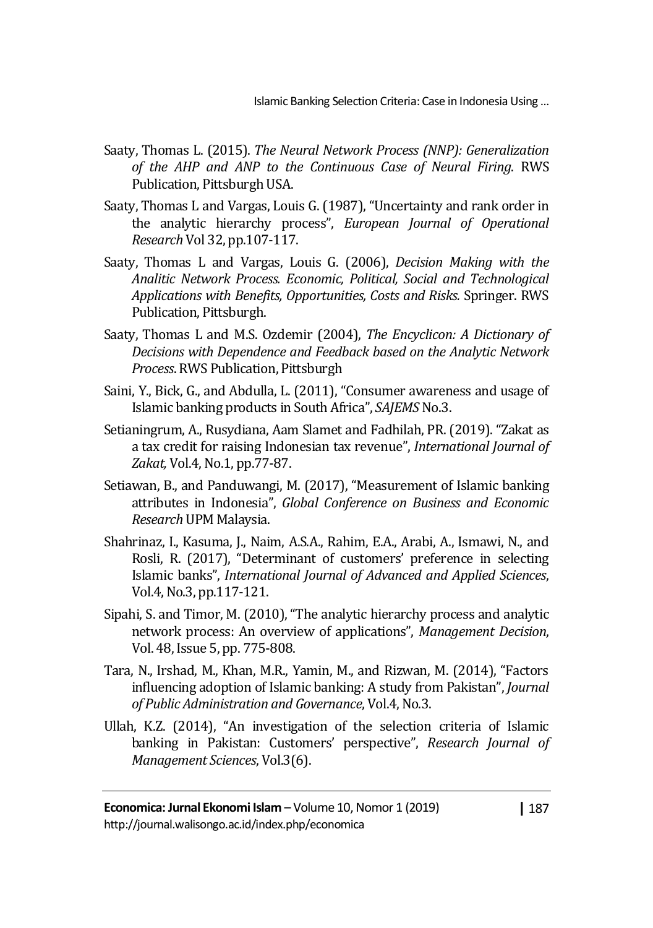- Saaty, Thomas L. (2015). *The Neural Network Process (NNP): Generalization of the AHP and ANP to the Continuous Case of Neural Firing*. RWS Publication, Pittsburgh USA.
- Saaty, Thomas L and Vargas, Louis G. (1987), "Uncertainty and rank order in the analytic hierarchy process", *European Journal of Operational Research* Vol 32, pp.107-117.
- Saaty, Thomas L and Vargas, Louis G. (2006), *Decision Making with the Analitic Network Process. Economic, Political, Social and Technological Applications with Benefits, Opportunities, Costs and Risks.* Springer. RWS Publication, Pittsburgh.
- Saaty, Thomas L and M.S. Ozdemir (2004), *The Encyclicon: A Dictionary of Decisions with Dependence and Feedback based on the Analytic Network Process*. RWS Publication, Pittsburgh
- Saini, Y., Bick, G., and Abdulla, L. (2011), "Consumer awareness and usage of Islamic banking products in South Africa", *SAJEMS* No.3.
- Setianingrum, A., Rusydiana, Aam Slamet and Fadhilah, PR. (2019). "Zakat as a tax credit for raising Indonesian tax revenue", *International Journal of Zakat,* Vol.4, No.1, pp.77-87.
- Setiawan, B., and Panduwangi, M. (2017), "Measurement of Islamic banking attributes in Indonesia", *Global Conference on Business and Economic Research* UPM Malaysia.
- Shahrinaz, I., Kasuma, J., Naim, A.S.A., Rahim, E.A., Arabi, A., Ismawi, N., and Rosli, R. (2017), "Determinant of customers' preference in selecting Islamic banks", *International Journal of Advanced and Applied Sciences*, Vol.4, No.3, pp.117-121.
- Sipahi, S. and Timor, M. (2010), "The analytic hierarchy process and analytic network process: An overview of applications", *Management Decision*, Vol. 48, Issue 5, pp. 775-808.
- Tara, N., Irshad, M., Khan, M.R., Yamin, M., and Rizwan, M. (2014), "Factors influencing adoption of Islamic banking: A study from Pakistan", *Journal of Public Administration and Governance*, Vol.4, No.3.
- Ullah, K.Z. (2014), "An investigation of the selection criteria of Islamic banking in Pakistan: Customers' perspective", *Research Journal of Management Sciences*, Vol.3(6).